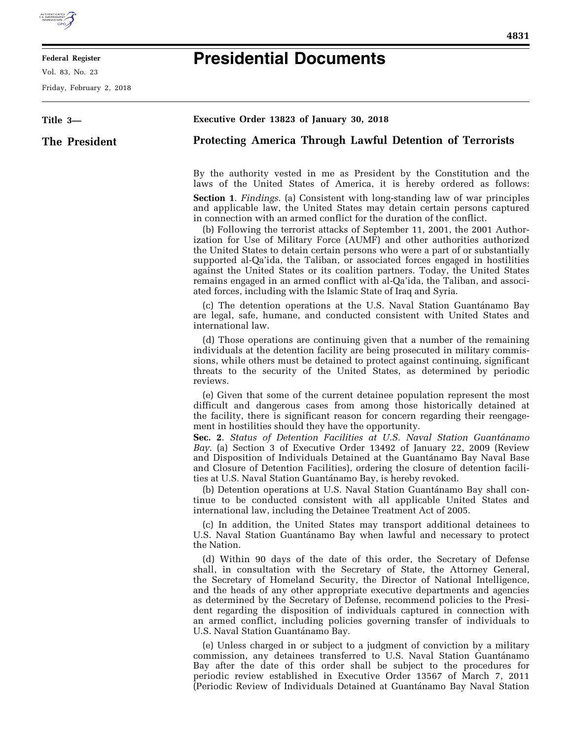

## **Federal Register**

Vol. 83, No. 23

Friday, February 2, 2018

## **Presidential Documents**

| Title 3-      | Executive Order 13823 of January 30, 2018                                                                                                                                                                                                                                                                                                                                                                                                                                                                                                                                                                                                                                                                                                                                                                                                                                                                        |
|---------------|------------------------------------------------------------------------------------------------------------------------------------------------------------------------------------------------------------------------------------------------------------------------------------------------------------------------------------------------------------------------------------------------------------------------------------------------------------------------------------------------------------------------------------------------------------------------------------------------------------------------------------------------------------------------------------------------------------------------------------------------------------------------------------------------------------------------------------------------------------------------------------------------------------------|
| The President | <b>Protecting America Through Lawful Detention of Terrorists</b>                                                                                                                                                                                                                                                                                                                                                                                                                                                                                                                                                                                                                                                                                                                                                                                                                                                 |
|               | By the authority vested in me as President by the Constitution and the<br>laws of the United States of America, it is hereby ordered as follows:                                                                                                                                                                                                                                                                                                                                                                                                                                                                                                                                                                                                                                                                                                                                                                 |
|               | Section 1. Findings. (a) Consistent with long-standing law of war principles<br>and applicable law, the United States may detain certain persons captured<br>in connection with an armed conflict for the duration of the conflict.<br>(b) Following the terrorist attacks of September 11, 2001, the 2001 Author-<br>ization for Use of Military Force (AUMF) and other authorities authorized<br>the United States to detain certain persons who were a part of or substantially<br>supported al-Qa'ida, the Taliban, or associated forces engaged in hostilities<br>against the United States or its coalition partners. Today, the United States<br>remains engaged in an armed conflict with al-Qa'ida, the Taliban, and associ-<br>ated forces, including with the Islamic State of Iraq and Syria.                                                                                                        |
|               | (c) The detention operations at the U.S. Naval Station Guantánamo Bay<br>are legal, safe, humane, and conducted consistent with United States and<br>international law.                                                                                                                                                                                                                                                                                                                                                                                                                                                                                                                                                                                                                                                                                                                                          |
|               | (d) Those operations are continuing given that a number of the remaining<br>individuals at the detention facility are being prosecuted in military commis-<br>sions, while others must be detained to protect against continuing, significant<br>threats to the security of the United States, as determined by periodic<br>reviews.                                                                                                                                                                                                                                                                                                                                                                                                                                                                                                                                                                             |
|               | (e) Given that some of the current detainee population represent the most<br>difficult and dangerous cases from among those historically detained at<br>the facility, there is significant reason for concern regarding their reengage-<br>ment in hostilities should they have the opportunity.<br>Sec. 2. Status of Detention Facilities at U.S. Naval Station Guantánamo<br>Bay. (a) Section 3 of Executive Order 13492 of January 22, 2009 (Review<br>and Disposition of Individuals Detained at the Guantánamo Bay Naval Base<br>and Closure of Detention Facilities), ordering the closure of detention facili-<br>ties at U.S. Naval Station Guantánamo Bay, is hereby revoked.<br>(b) Detention operations at U.S. Naval Station Guantánamo Bay shall con-<br>tinue to be conducted consistent with all applicable United States and<br>international law, including the Detainee Treatment Act of 2005. |
|               | (c) In addition, the United States may transport additional detainees to<br>U.S. Naval Station Guantánamo Bay when lawful and necessary to protect<br>the Nation.                                                                                                                                                                                                                                                                                                                                                                                                                                                                                                                                                                                                                                                                                                                                                |
|               | (d) Within 90 days of the date of this order, the Secretary of Defense<br>shall, in consultation with the Secretary of State, the Attorney General,<br>the Secretary of Homeland Security, the Director of National Intelligence,<br>and the heads of any other appropriate executive departments and agencies<br>as determined by the Secretary of Defense, recommend policies to the Presi-<br>dent regarding the disposition of individuals captured in connection with<br>an armed conflict, including policies governing transfer of individuals to<br>U.S. Naval Station Guantánamo Bay.                                                                                                                                                                                                                                                                                                                   |

(e) Unless charged in or subject to a judgment of conviction by a military commission, any detainees transferred to U.S. Naval Station Guantánamo Bay after the date of this order shall be subject to the procedures for periodic review established in Executive Order 13567 of March 7, 2011 (Periodic Review of Individuals Detained at Guantánamo Bay Naval Station